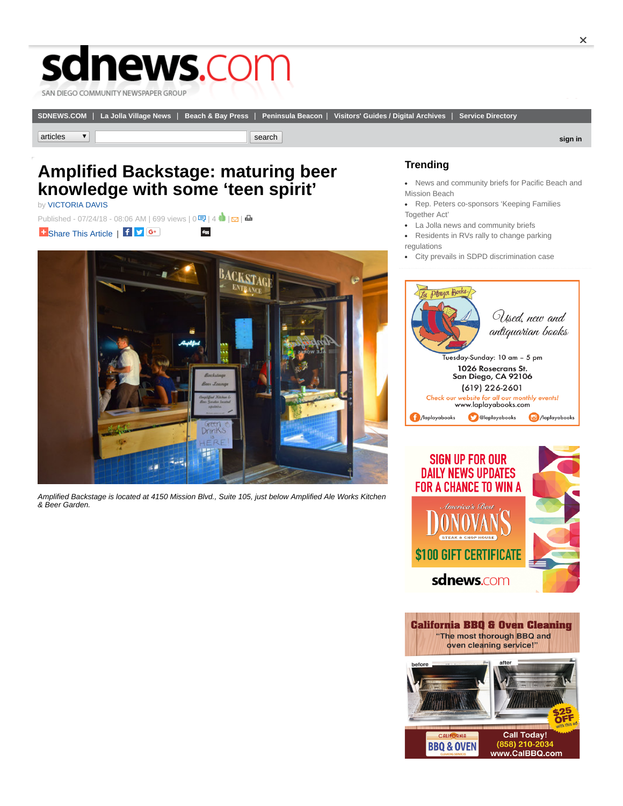## sdnews.com

SAN DIEGO COMMUNITY NEWSPAPER GROUP

**[SDNEWS.COM](http://www.sdnews.com/pages/home?site=sdnews)** | **[La Jolla Village News](http://www.sdnews.com/pages/home?site=ljvn)** | **[Beach & Bay Press](http://www.sdnews.com/pages/home?site=bbp)** | **[Peninsula Beacon](http://www.sdnews.com/pages/home?site=pb)** | **[Visitors' Guides / Digital Archives](http://www.sdnews.com/pages/archives)** | **[Service Directory](http://www.sdnews.com/pages/service_dir)**

**articles** search **in the search of the search in the search of the search in the search in the search in the search in the search in the search in the search in the search in the search in the search in the search in the** 

## **Amplified Backstage: maturing beer knowledge with some 'teen spirit'**

by [VICTORIA DAVIS](http://www.sdnews.com/bookmark/27585839-VICTORIA_DAVIS)

Published- 07/24/18 - 08:06 AM | 699 views | 0  $\frac{1}{3}$  |  $\frac{1}{2}$  |  $\frac{1}{4}$  |  $\frac{1}{2}$  |  $\frac{1}{4}$ **B** [Share This Article](http://addthis.com/bookmark.php?v=250) | f  $\triangleright$  G<sup>+</sup> digg



*Amplified Backstage is located at 4150 Mission Blvd., Suite 105, just below Amplified Ale Works Kitchen & Beer Garden.*

## **Trending**

- [News and community briefs for Pacific Beach and](http://www.sdnews.com/view/full_story/27586627/article-News-and-community-briefs-for-Pacific-Beach-and-Mission-Beach-?instance=most_popular1) Mission Beach
- [Rep. Peters co-sponsors 'Keeping Families](http://www.sdnews.com/view/full_story/27586201/article-Rep--Peters-co-sponsors--Keeping-Families-Together-Act-?instance=most_popular1) Together Act'
- [La Jolla news and community briefs](http://www.sdnews.com/view/full_story/27586889/article-La-Jolla-news-and-community-briefs?instance=most_popular1)
- [Residents in RVs rally to change parking](http://www.sdnews.com/view/full_story/27586059/article-Residents-in-RVs-rally-to-change-parking-regulations-?instance=most_popular1) regulations
- [City prevails in SDPD discrimination case](http://www.sdnews.com/view/full_story/27586631/article-City-prevails-in-SDPD-discrimination-case%C2%A0?instance=most_popular1)





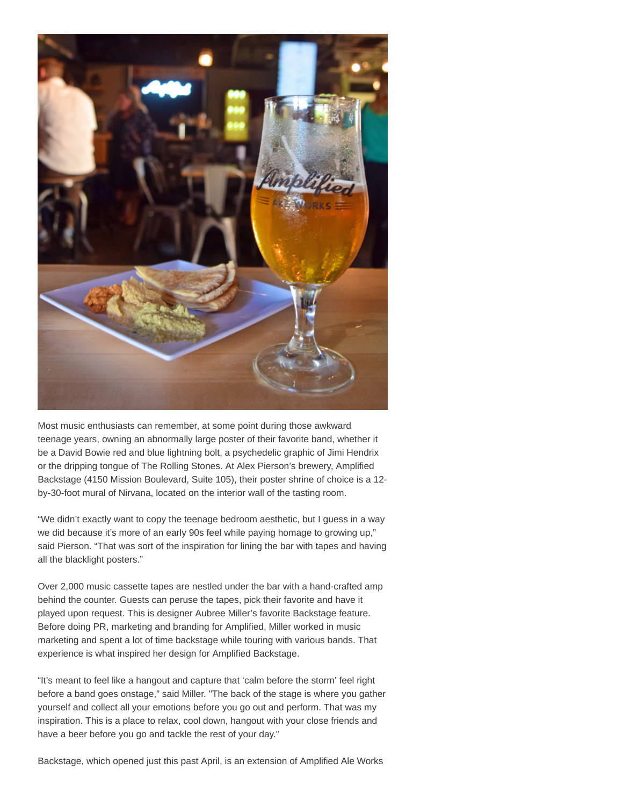

Most music enthusiasts can remember, at some point during those awkward teenage years, owning an abnormally large poster of their favorite band, whether it be a David Bowie red and blue lightning bolt, a psychedelic graphic of Jimi Hendrix or the dripping tongue of The Rolling Stones. At Alex Pierson's brewery, Amplified Backstage (4150 Mission Boulevard, Suite 105), their poster shrine of choice is a 12 by-30-foot mural of Nirvana, located on the interior wall of the tasting room.

"We didn't exactly want to copy the teenage bedroom aesthetic, but I guess in a way we did because it's more of an early 90s feel while paying homage to growing up," said Pierson. "That was sort of the inspiration for lining the bar with tapes and having all the blacklight posters."

Over 2,000 music cassette tapes are nestled under the bar with a hand-crafted amp behind the counter. Guests can peruse the tapes, pick their favorite and have it played upon request. This is designer Aubree Miller's favorite Backstage feature. Before doing PR, marketing and branding for Amplified, Miller worked in music marketing and spent a lot of time backstage while touring with various bands. That experience is what inspired her design for Amplified Backstage.

"It's meant to feel like a hangout and capture that 'calm before the storm' feel right before a band goes onstage," said Miller. "The back of the stage is where you gather yourself and collect all your emotions before you go out and perform. That was my inspiration. This is a place to relax, cool down, hangout with your close friends and have a beer before you go and tackle the rest of your day."

Backstage, which opened just this past April, is an extension of Amplified Ale Works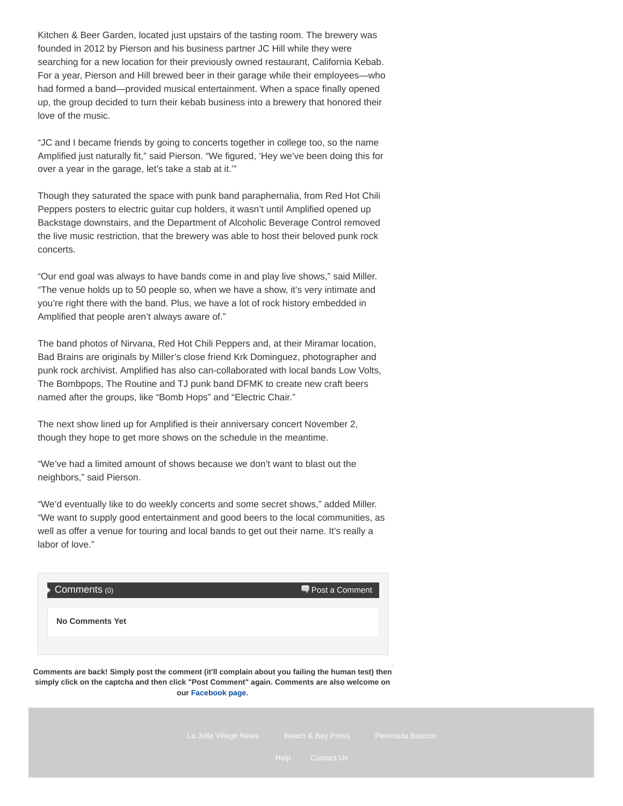Kitchen & Beer Garden, located just upstairs of the tasting room. The brewery was founded in 2012 by Pierson and his business partner JC Hill while they were searching for a new location for their previously owned restaurant, California Kebab. For a year, Pierson and Hill brewed beer in their garage while their employees—who had formed a band—provided musical entertainment. When a space finally opened up, the group decided to turn their kebab business into a brewery that honored their love of the music.

"JC and I became friends by going to concerts together in college too, so the name Amplified just naturally fit," said Pierson. "We figured, 'Hey we've been doing this for over a year in the garage, let's take a stab at it.'"

Though they saturated the space with punk band paraphernalia, from Red Hot Chili Peppers posters to electric guitar cup holders, it wasn't until Amplified opened up Backstage downstairs, and the Department of Alcoholic Beverage Control removed the live music restriction, that the brewery was able to host their beloved punk rock concerts.

"Our end goal was always to have bands come in and play live shows," said Miller. "The venue holds up to 50 people so, when we have a show, it's very intimate and you're right there with the band. Plus, we have a lot of rock history embedded in Amplified that people aren't always aware of."

The band photos of Nirvana, Red Hot Chili Peppers and, at their Miramar location, Bad Brains are originals by Miller's close friend Krk Dominguez, photographer and punk rock archivist. Amplified has also can-collaborated with local bands Low Volts, The Bombpops, The Routine and TJ punk band DFMK to create new craft beers named after the groups, like "Bomb Hops" and "Electric Chair."

The next show lined up for Amplified is their anniversary concert November 2, though they hope to get more shows on the schedule in the meantime.

"We've had a limited amount of shows because we don't want to blast out the neighbors," said Pierson.

"We'd eventually like to do weekly concerts and some secret shows," added Miller. "We want to supply good entertainment and good beers to the local communities, as well as offer a venue for touring and local bands to get out their name. It's really a labor of love."

![](_page_2_Picture_8.jpeg)

**Comments are back! Simply post the comment (it'll complain about you failing the human test) then simply click on the captcha and then click "Post Comment" again. Comments are also welcome on our [Facebook page.](https://www.facebook.com/sdcng/)**